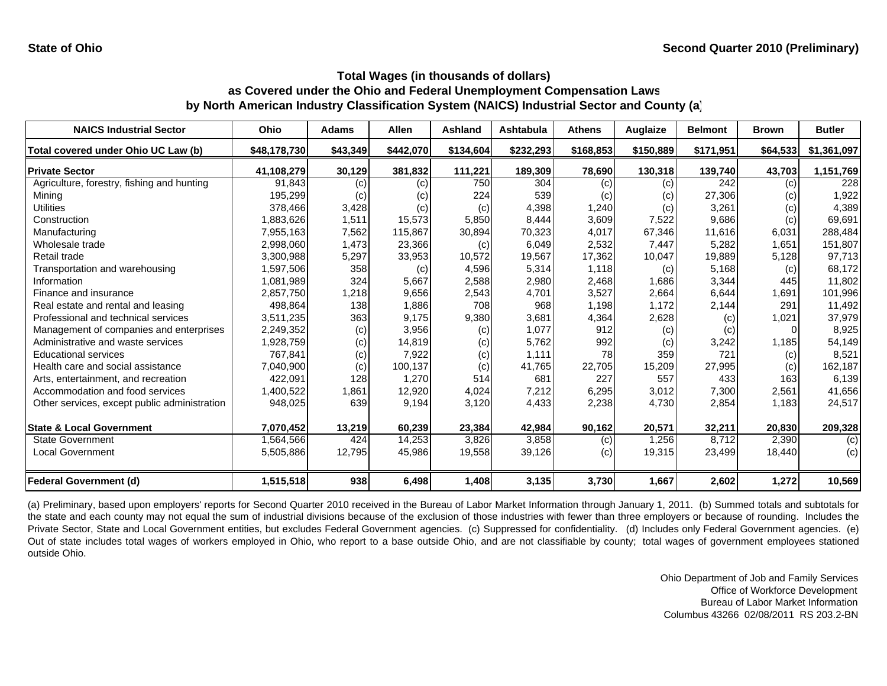| <b>NAICS Industrial Sector</b>               | Ohio         | Adams    | <b>Allen</b> | Ashland   | Ashtabula | <b>Athens</b> | Auglaize  | <b>Belmont</b> | <b>Brown</b> | <b>Butler</b> |
|----------------------------------------------|--------------|----------|--------------|-----------|-----------|---------------|-----------|----------------|--------------|---------------|
| Total covered under Ohio UC Law (b)          | \$48,178,730 | \$43,349 | \$442,070    | \$134,604 | \$232,293 | \$168,853     | \$150,889 | \$171,951      | \$64,533     | \$1,361,097   |
| <b>Private Sector</b>                        | 41,108,279   | 30,129   | 381,832      | 111,221   | 189,309   | 78,690        | 130,318   | 139,740        | 43,703       | 1,151,769     |
| Agriculture, forestry, fishing and hunting   | 91,843       | (c)      | (c)          | 750       | 304       | (c)           | (c)       | 242            | (c)          | 228           |
| Mining                                       | 195,299      | (c)      | (c)          | 224       | 539       | (c)           | (c)       | 27,306         | (c)          | 1,922         |
| Utilities                                    | 378,466      | 3,428    | (c)          | (c)       | 4,398     | 1,240         | (c)       | 3,261          | (c)          | 4,389         |
| Construction                                 | 1,883,626    | 1,511    | 15,573       | 5,850     | 8,444     | 3,609         | 7,522     | 9,686          | (c)          | 69,691        |
| Manufacturing                                | 7,955,163    | 7,562    | 115,867      | 30,894    | 70,323    | 4,017         | 67,346    | 11,616         | 6,031        | 288,484       |
| Wholesale trade                              | 2,998,060    | 1,473    | 23,366       | (c)       | 6,049     | 2,532         | 7,447     | 5,282          | 1,651        | 151,807       |
| Retail trade                                 | 3,300,988    | 5,297    | 33,953       | 10,572    | 19,567    | 17,362        | 10,047    | 19,889         | 5,128        | 97,713        |
| Transportation and warehousing               | 1,597,506    | 358      | (c)          | 4,596     | 5,314     | 1,118         | (c)       | 5,168          | (c)          | 68,172        |
| Information                                  | 1,081,989    | 324      | 5,667        | 2,588     | 2,980     | 2,468         | 1,686     | 3,344          | 445          | 11,802        |
| Finance and insurance                        | 2,857,750    | 1,218    | 9,656        | 2,543     | 4,701     | 3,527         | 2,664     | 6,644          | 1,691        | 101,996       |
| Real estate and rental and leasing           | 498,864      | 138      | 1,886        | 708       | 968       | 1,198         | 1,172     | 2,144          | 291          | 11,492        |
| Professional and technical services          | 3,511,235    | 363      | 9,175        | 9,380     | 3,681     | 4,364         | 2,628     | (c)            | 1,021        | 37,979        |
| Management of companies and enterprises      | 2,249,352    | (c)      | 3,956        | (c)       | 1,077     | 912           | (c)       | (c)            |              | 8,925         |
| Administrative and waste services            | 1,928,759    | (c)      | 14,819       | (c)       | 5,762     | 992           | (c)       | 3,242          | 1,185        | 54,149        |
| <b>Educational services</b>                  | 767.841      | (c)      | 7,922        | (c)       | 1.111     | 78            | 359       | 721            | (c)          | 8,521         |
| Health care and social assistance            | 7,040,900    | (c)      | 100,137      | (c)       | 41,765    | 22,705        | 15,209    | 27,995         | (c)          | 162,187       |
| Arts, entertainment, and recreation          | 422,091      | 128      | 1,270        | 514       | 681       | 227           | 557       | 433            | 163          | 6,139         |
| Accommodation and food services              | 1,400,522    | 1,861    | 12,920       | 4,024     | 7,212     | 6,295         | 3,012     | 7,300          | 2,561        | 41,656        |
| Other services, except public administration | 948,025      | 639      | 9,194        | 3,120     | 4,433     | 2,238         | 4,730     | 2,854          | 1,183        | 24,517        |
| <b>State &amp; Local Government</b>          | 7,070,452    | 13,219   | 60,239       | 23,384    | 42,984    | 90,162        | 20,571    | 32,211         | 20,830       | 209,328       |
| <b>State Government</b>                      | 1,564,566    | 424      | 14,253       | 3,826     | 3,858     | (c)           | 1,256     | 8,712          | 2,390        | (c)           |
| <b>Local Government</b>                      | 5,505,886    | 12,795   | 45,986       | 19,558    | 39,126    | (c)           | 19,315    | 23,499         | 18,440       | (c)           |
| <b>Federal Government (d)</b>                | 1,515,518    | 938      | 6,498        | 1,408     | 3,135     | 3,730         | 1,667     | 2,602          | 1,272        | 10,569        |

(a) Preliminary, based upon employers' reports for Second Quarter 2010 received in the Bureau of Labor Market Information through January 1, 2011. (b) Summed totals and subtotals for the state and each county may not equal the sum of industrial divisions because of the exclusion of those industries with fewer than three employers or because of rounding. Includes the Private Sector, State and Local Government entities, but excludes Federal Government agencies. (c) Suppressed for confidentiality. (d) Includes only Federal Government agencies. (e) Out of state includes total wages of workers employed in Ohio, who report to <sup>a</sup> base outside Ohio, and are not classifiable by county; total wages of government employees stationed outside Ohio.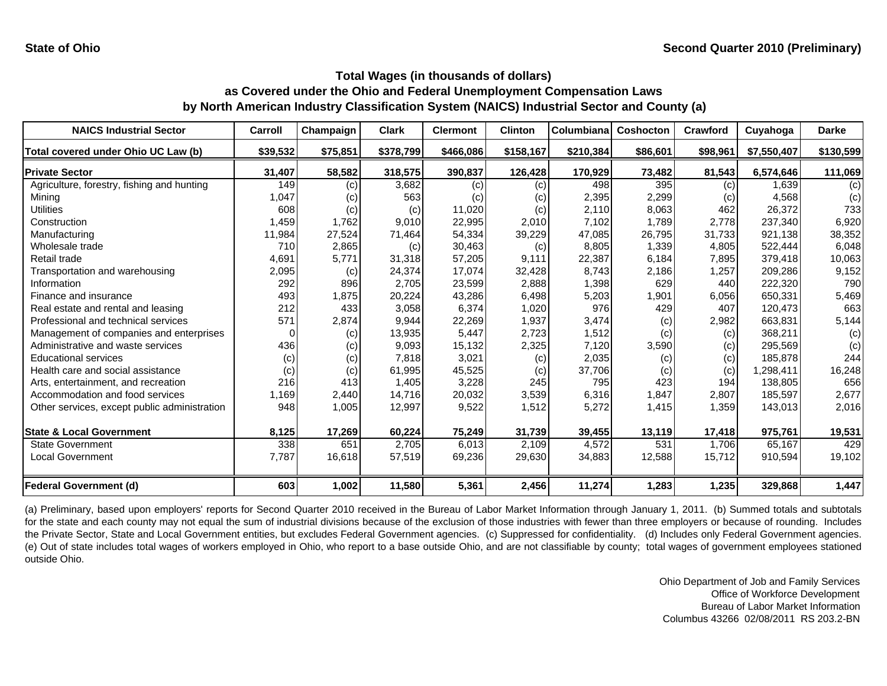| <b>NAICS Industrial Sector</b>               | Carroll  | Champaign | <b>Clark</b> | <b>Clermont</b> | <b>Clinton</b> | Columbiana | <b>Coshocton</b> | Crawford | Cuyahoga    | <b>Darke</b> |
|----------------------------------------------|----------|-----------|--------------|-----------------|----------------|------------|------------------|----------|-------------|--------------|
| Total covered under Ohio UC Law (b)          | \$39,532 | \$75,851  | \$378,799    | \$466,086       | \$158,167      | \$210,384  | \$86,601         | \$98,961 | \$7,550,407 | \$130,599    |
| <b>Private Sector</b>                        | 31,407   | 58,582    | 318,575      | 390,837         | 126,428        | 170,929    | 73,482           | 81,543   | 6,574,646   | 111,069      |
| Agriculture, forestry, fishing and hunting   | 149      | (c)       | 3,682        | (c)             | (c)            | 498        | 395              | (c)      | 1.639       | (c)          |
| Mining                                       | 1,047    | (c)       | 563          | (c)             | (c)            | 2,395      | 2,299            | (c)      | 4,568       | (c)          |
| Utilities                                    | 608      | (c)       | (c)          | 11,020          | (c)            | 2,110      | 8,063            | 462      | 26,372      | 733          |
| Construction                                 | 1,459    | 1,762     | 9,010        | 22,995          | 2,010          | 7,102      | 1,789            | 2,778    | 237,340     | 6,920        |
| Manufacturing                                | 11,984   | 27,524    | 71,464       | 54,334          | 39,229         | 47,085     | 26,795           | 31,733   | 921,138     | 38,352       |
| Wholesale trade                              | 710      | 2,865     | (c)          | 30,463          | (c)            | 8,805      | 1,339            | 4,805    | 522,444     | 6,048        |
| Retail trade                                 | 4,691    | 5,771     | 31,318       | 57,205          | 9,111          | 22,387     | 6,184            | 7,895    | 379,418     | 10,063       |
| Transportation and warehousing               | 2,095    | (c)       | 24,374       | 17,074          | 32,428         | 8,743      | 2,186            | 1,257    | 209,286     | 9,152        |
| Information                                  | 292      | 896       | 2,705        | 23,599          | 2,888          | 1,398      | 629              | 440      | 222,320     | 790          |
| Finance and insurance                        | 493      | 1,875     | 20,224       | 43,286          | 6,498          | 5,203      | 1,901            | 6,056    | 650,331     | 5,469        |
| Real estate and rental and leasing           | 212      | 433       | 3,058        | 6.374           | 1,020          | 976        | 429              | 407      | 120.473     | 663          |
| Professional and technical services          | 571      | 2,874     | 9,944        | 22,269          | 1,937          | 3,474      | (c)              | 2,982    | 663,831     | 5,144        |
| Management of companies and enterprises      | n        | (c)       | 13,935       | 5.447           | 2,723          | 1,512      | (c)              | (c)      | 368,211     | (c)          |
| Administrative and waste services            | 436      | (c)       | 9,093        | 15,132          | 2,325          | 7,120      | 3,590            | (c)      | 295,569     | (c)          |
| <b>Educational services</b>                  | (c)      | (c)       | 7,818        | 3,021           | (c)            | 2,035      | (c)              | (c)      | 185,878     | 244          |
| Health care and social assistance            | (c)      | (c)       | 61,995       | 45,525          | (c)            | 37,706     | (c)              | (c)      | 1,298,411   | 16,248       |
| Arts, entertainment, and recreation          | 216      | 413       | 1,405        | 3,228           | 245            | 795        | 423              | 194      | 138.805     | 656          |
| Accommodation and food services              | 1,169    | 2,440     | 14.716       | 20,032          | 3,539          | 6,316      | 1,847            | 2,807    | 185,597     | 2,677        |
| Other services, except public administration | 948      | 1,005     | 12,997       | 9,522           | 1,512          | 5,272      | 1,415            | 1,359    | 143,013     | 2,016        |
| <b>State &amp; Local Government</b>          | 8,125    | 17,269    | 60,224       | 75,249          | 31,739         | 39,455     | 13,119           | 17,418   | 975,761     | 19,531       |
| <b>State Government</b>                      | 338      | 651       | 2,705        | 6,013           | 2,109          | 4,572      | 531              | 1,706    | 65,167      | 429          |
| <b>Local Government</b>                      | 7,787    | 16,618    | 57,519       | 69,236          | 29,630         | 34,883     | 12,588           | 15,712   | 910,594     | 19,102       |
| <b>Federal Government (d)</b>                | 603      | 1,002     | 11,580       | 5,361           | 2,456          | 11,274     | 1,283            | 1,235    | 329,868     | 1,447        |

(a) Preliminary, based upon employers' reports for Second Quarter 2010 received in the Bureau of Labor Market Information through January 1, 2011. (b) Summed totals and subtotals for the state and each county may not equal the sum of industrial divisions because of the exclusion of those industries with fewer than three employers or because of rounding. Includes the Private Sector, State and Local Government entities, but excludes Federal Government agencies. (c) Suppressed for confidentiality. (d) Includes only Federal Government agencies. (e) Out of state includes total wages of workers employed in Ohio, who report to <sup>a</sup> base outside Ohio, and are not classifiable by county; total wages of government employees stationed outside Ohio.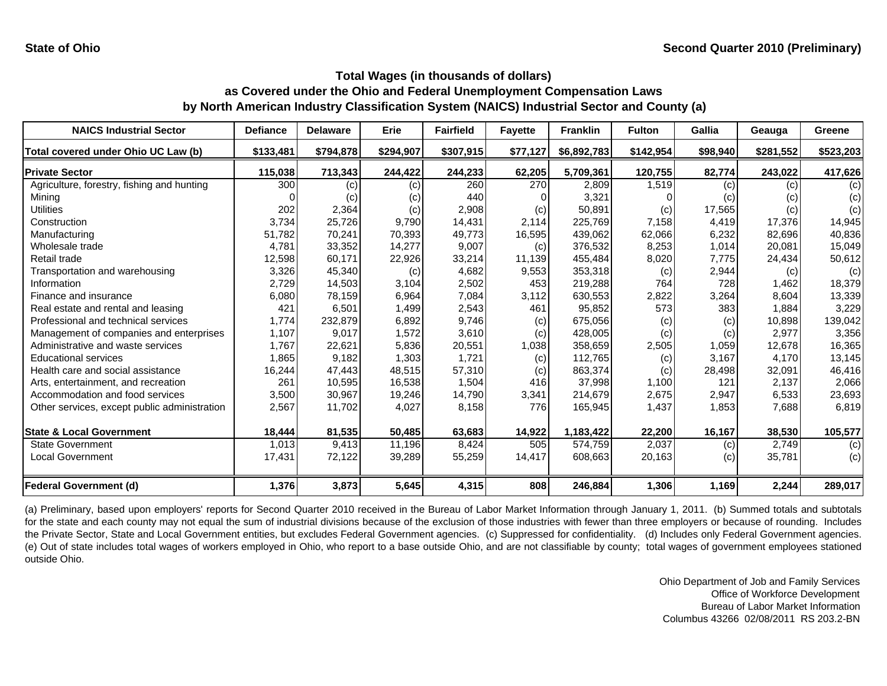| <b>NAICS Industrial Sector</b>               | <b>Defiance</b> | <b>Delaware</b> | Erie      | <b>Fairfield</b> | <b>Fayette</b> | <b>Franklin</b> | <b>Fulton</b> | <b>Gallia</b> | Geauga    | Greene    |
|----------------------------------------------|-----------------|-----------------|-----------|------------------|----------------|-----------------|---------------|---------------|-----------|-----------|
| Total covered under Ohio UC Law (b)          | \$133,481       | \$794,878       | \$294,907 | \$307,915        | \$77,127       | \$6,892,783     | \$142,954     | \$98,940      | \$281,552 | \$523,203 |
| <b>Private Sector</b>                        | 115,038         | 713,343         | 244,422   | 244,233          | 62,205         | 5,709,361       | 120,755       | 82,774        | 243,022   | 417,626   |
| Agriculture, forestry, fishing and hunting   | 300             | (c)             | (c)       | 260              | 270            | 2,809           | 1,519         | (c)           | (c)       | (c)       |
| Mining                                       |                 | (c)             | (c)       | 440              |                | 3,321           |               | (c)           | (c)       | (c)       |
| Utilities                                    | 202             | 2,364           | (c)       | 2,908            | (c)            | 50,891          | (c)           | 17,565        | (c)       | (c)       |
| Construction                                 | 3,734           | 25,726          | 9,790     | 14,431           | 2.114          | 225,769         | 7,158         | 4,419         | 17,376    | 14,945    |
| Manufacturing                                | 51,782          | 70,241          | 70,393    | 49,773           | 16,595         | 439,062         | 62,066        | 6,232         | 82.696    | 40,836    |
| Wholesale trade                              | 4,781           | 33,352          | 14,277    | 9,007            | (c)            | 376,532         | 8,253         | 1,014         | 20,081    | 15,049    |
| Retail trade                                 | 12,598          | 60,171          | 22,926    | 33,214           | 11,139         | 455,484         | 8,020         | 7,775         | 24,434    | 50,612    |
| Transportation and warehousing               | 3,326           | 45,340          | (c)       | 4,682            | 9,553          | 353,318         | (c)           | 2,944         | (c)       | (c)       |
| Information                                  | 2,729           | 14,503          | 3,104     | 2,502            | 453            | 219,288         | 764           | 728           | 1,462     | 18,379    |
| Finance and insurance                        | 6,080           | 78,159          | 6,964     | 7,084            | 3,112          | 630,553         | 2,822         | 3,264         | 8,604     | 13,339    |
| Real estate and rental and leasing           | 421             | 6,501           | 1,499     | 2,543            | 461            | 95,852          | 573           | 383           | 1,884     | 3,229     |
| Professional and technical services          | 1,774           | 232,879         | 6,892     | 9,746            | (c)            | 675,056         | (c)           | (c)           | 10,898    | 139,042   |
| Management of companies and enterprises      | 1,107           | 9,017           | 1,572     | 3,610            | (c)            | 428,005         | (c)           | (c)           | 2,977     | 3,356     |
| Administrative and waste services            | 1,767           | 22,621          | 5,836     | 20,551           | 1,038          | 358,659         | 2,505         | 1,059         | 12,678    | 16,365    |
| <b>Educational services</b>                  | 1,865           | 9,182           | 1,303     | 1,721            | (c)            | 112,765         | (c)           | 3,167         | 4,170     | 13,145    |
| Health care and social assistance            | 16,244          | 47,443          | 48,515    | 57,310           | (c)            | 863,374         | (c)           | 28,498        | 32,091    | 46,416    |
| Arts, entertainment, and recreation          | 261             | 10,595          | 16,538    | 1,504            | 416            | 37,998          | 1,100         | 121           | 2.137     | 2,066     |
| Accommodation and food services              | 3,500           | 30,967          | 19,246    | 14.790           | 3,341          | 214,679         | 2,675         | 2,947         | 6,533     | 23,693    |
| Other services, except public administration | 2,567           | 11,702          | 4,027     | 8,158            | 776            | 165,945         | 1,437         | 1,853         | 7,688     | 6,819     |
| <b>State &amp; Local Government</b>          | 18,444          | 81,535          | 50,485    | 63,683           | 14,922         | 1,183,422       | 22,200        | 16,167        | 38,530    | 105,577   |
| <b>State Government</b>                      | 1,013           | 9,413           | 11,196    | 8,424            | 505            | 574,759         | 2,037         | (c)           | 2,749     | (c)       |
| <b>Local Government</b>                      | 17,431          | 72,122          | 39,289    | 55,259           | 14,417         | 608,663         | 20,163        | (c)           | 35,781    | (c)       |
| <b>Federal Government (d)</b>                | 1,376           | 3,873           | 5,645     | 4,315            | 808            | 246,884         | 1,306         | 1,169         | 2,244     | 289,017   |

(a) Preliminary, based upon employers' reports for Second Quarter 2010 received in the Bureau of Labor Market Information through January 1, 2011. (b) Summed totals and subtotals for the state and each county may not equal the sum of industrial divisions because of the exclusion of those industries with fewer than three employers or because of rounding. Includes the Private Sector, State and Local Government entities, but excludes Federal Government agencies. (c) Suppressed for confidentiality. (d) Includes only Federal Government agencies. (e) Out of state includes total wages of workers employed in Ohio, who report to <sup>a</sup> base outside Ohio, and are not classifiable by county; total wages of government employees stationed outside Ohio.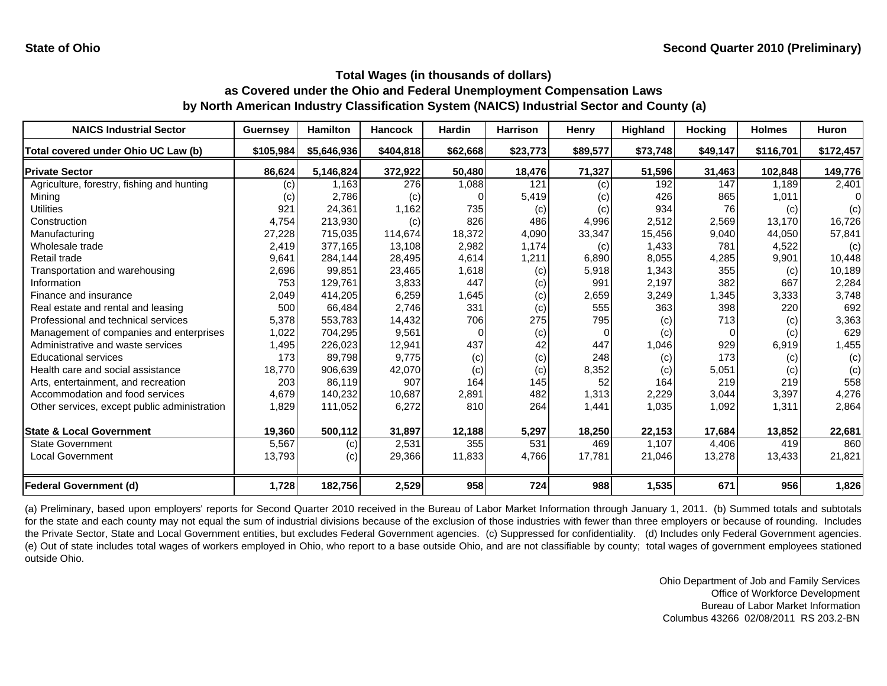| <b>NAICS Industrial Sector</b>               | <b>Guernsey</b>   | <b>Hamilton</b> | <b>Hancock</b> | <b>Hardin</b> | <b>Harrison</b> | Henry    | <b>Highland</b> | <b>Hocking</b> | <b>Holmes</b> | <b>Huron</b> |
|----------------------------------------------|-------------------|-----------------|----------------|---------------|-----------------|----------|-----------------|----------------|---------------|--------------|
| Total covered under Ohio UC Law (b)          | \$105,984         | \$5,646,936     | \$404,818      | \$62,668      | \$23,773        | \$89,577 | \$73,748        | \$49,147       | \$116,701     | \$172,457    |
| <b>Private Sector</b>                        | 86,624            | 5,146,824       | 372,922        | 50,480        | 18,476          | 71,327   | 51,596          | 31,463         | 102,848       | 149,776      |
| Agriculture, forestry, fishing and hunting   | $\left( c\right)$ | 1.163           | 276            | 1,088         | 121             | (c)      | 192             | 147            | 1.189         | 2,401        |
| Mining                                       | (c)               | 2,786           | (c)            |               | 5,419           | (c)      | 426             | 865            | 1,011         | n            |
| <b>Utilities</b>                             | 921               | 24,361          | 1,162          | 735           | (c)             | (c)      | 934             | 76             | (c)           | (c)          |
| Construction                                 | 4,754             | 213,930         | (c)            | 826           | 486             | 4,996    | 2,512           | 2,569          | 13.170        | 16,726       |
| Manufacturing                                | 27,228            | 715,035         | 114,674        | 18,372        | 4,090           | 33,347   | 15,456          | 9,040          | 44.050        | 57,841       |
| Wholesale trade                              | 2,419             | 377,165         | 13,108         | 2,982         | 1,174           | (c)      | 1,433           | 781            | 4,522         | (c)          |
| Retail trade                                 | 9,641             | 284,144         | 28,495         | 4,614         | 1,211           | 6,890    | 8,055           | 4,285          | 9,901         | 10,448       |
| Transportation and warehousing               | 2,696             | 99,851          | 23,465         | 1,618         | (c)             | 5,918    | 1,343           | 355            | (c)           | 10,189       |
| Information                                  | 753               | 129,761         | 3,833          | 447           | (c)             | 991      | 2,197           | 382            | 667           | 2,284        |
| Finance and insurance                        | 2,049             | 414,205         | 6,259          | 1,645         | (c)             | 2,659    | 3,249           | 1,345          | 3,333         | 3,748        |
| Real estate and rental and leasing           | 500               | 66,484          | 2,746          | 331           | (c)             | 555      | 363             | 398            | 220           | 692          |
| Professional and technical services          | 5,378             | 553,783         | 14,432         | 706           | 275             | 795      | (c)             | 713            | (c)           | 3,363        |
| Management of companies and enterprises      | 1,022             | 704,295         | 9,561          | O             | (c)             | $\Omega$ | (c)             | $\Omega$       | (c)           | 629          |
| Administrative and waste services            | 1,495             | 226,023         | 12,941         | 437           | 42              | 447      | 1,046           | 929            | 6,919         | 1,455        |
| <b>Educational services</b>                  | 173               | 89,798          | 9,775          | (c)           | (c)             | 248      | (c)             | 173            | (c)           | (c)          |
| Health care and social assistance            | 18,770            | 906,639         | 42,070         | (c)           | (c)             | 8,352    | (c)             | 5,051          | (c)           | (c)          |
| Arts, entertainment, and recreation          | 203               | 86,119          | 907            | 164           | 145             | 52       | 164             | 219            | 219           | 558          |
| Accommodation and food services              | 4,679             | 140,232         | 10,687         | 2,891         | 482             | 1,313    | 2,229           | 3,044          | 3,397         | 4,276        |
| Other services, except public administration | 1,829             | 111,052         | 6,272          | 810           | 264             | 1,441    | 1,035           | 1,092          | 1,311         | 2,864        |
| <b>State &amp; Local Government</b>          | 19,360            | 500,112         | 31,897         | 12,188        | 5,297           | 18,250   | 22,153          | 17,684         | 13,852        | 22,681       |
| <b>State Government</b>                      | 5,567             | (c)             | 2,531          | 355           | 531             | 469      | 1.107           | 4,406          | 419           | 860          |
| Local Government                             | 13,793            | (c)             | 29,366         | 11,833        | 4,766           | 17,781   | 21,046          | 13,278         | 13,433        | 21,821       |
| <b>Federal Government (d)</b>                | 1,728             | 182,756         | 2,529          | 958           | 724             | 988      | 1,535           | 671            | 956           | 1,826        |

(a) Preliminary, based upon employers' reports for Second Quarter 2010 received in the Bureau of Labor Market Information through January 1, 2011. (b) Summed totals and subtotals for the state and each county may not equal the sum of industrial divisions because of the exclusion of those industries with fewer than three employers or because of rounding. Includes the Private Sector, State and Local Government entities, but excludes Federal Government agencies. (c) Suppressed for confidentiality. (d) Includes only Federal Government agencies. (e) Out of state includes total wages of workers employed in Ohio, who report to <sup>a</sup> base outside Ohio, and are not classifiable by county; total wages of government employees stationed outside Ohio.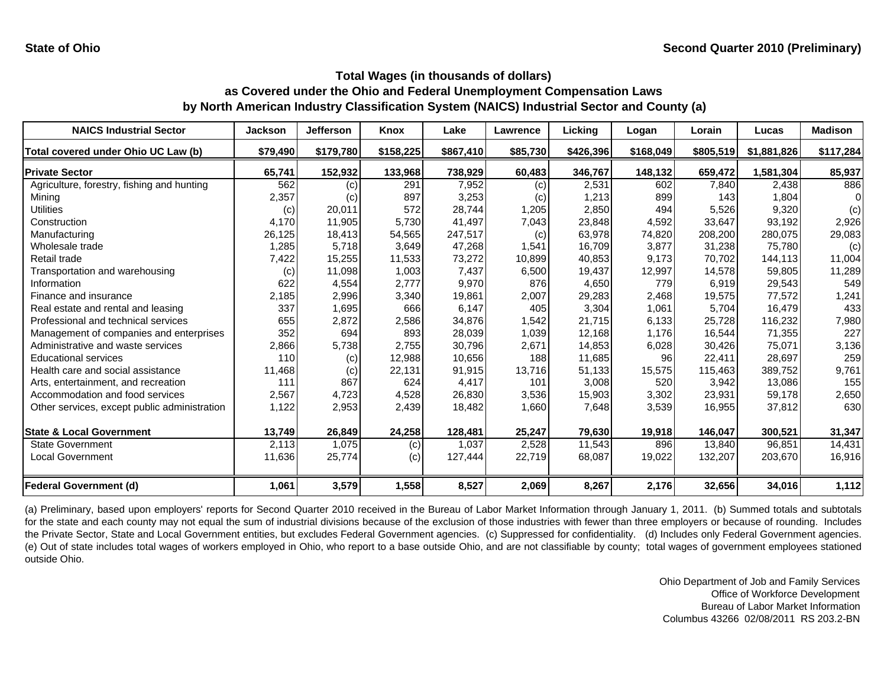| <b>NAICS Industrial Sector</b>               | <b>Jackson</b> | <b>Jefferson</b> | <b>Knox</b> | Lake      | Lawrence | Lickina   | Logan     | Lorain    | Lucas       | <b>Madison</b> |
|----------------------------------------------|----------------|------------------|-------------|-----------|----------|-----------|-----------|-----------|-------------|----------------|
| Total covered under Ohio UC Law (b)          | \$79,490       | \$179,780        | \$158,225   | \$867,410 | \$85,730 | \$426,396 | \$168,049 | \$805,519 | \$1,881,826 | \$117,284      |
| <b>Private Sector</b>                        | 65,741         | 152,932          | 133,968     | 738,929   | 60,483   | 346,767   | 148,132   | 659,472   | 1,581,304   | 85,937         |
| Agriculture, forestry, fishing and hunting   | 562            | (c)              | 291         | 7,952     | (c)      | 2,531     | 602       | 7,840     | 2,438       | 886            |
| Mining                                       | 2,357          | (c)              | 897         | 3,253     | (c)      | 1,213     | 899       | 143       | 1,804       |                |
| Utilities                                    | (c)            | 20,011           | 572         | 28,744    | 1,205    | 2,850     | 494       | 5,526     | 9,320       | (c)            |
| Construction                                 | 4,170          | 11,905           | 5,730       | 41,497    | 7,043    | 23,848    | 4,592     | 33,647    | 93,192      | 2,926          |
| Manufacturing                                | 26,125         | 18,413           | 54,565      | 247,517   | (c)      | 63,978    | 74,820    | 208,200   | 280,075     | 29,083         |
| Wholesale trade                              | 1,285          | 5,718            | 3,649       | 47,268    | 1,541    | 16,709    | 3,877     | 31,238    | 75.780      | (c)            |
| Retail trade                                 | 7,422          | 15,255           | 11,533      | 73,272    | 10,899   | 40,853    | 9.173     | 70.702    | 144,113     | 11,004         |
| Transportation and warehousing               | (c)            | 11,098           | 1,003       | 7,437     | 6,500    | 19,437    | 12,997    | 14,578    | 59,805      | 11,289         |
| Information                                  | 622            | 4,554            | 2,777       | 9,970     | 876      | 4,650     | 779       | 6,919     | 29,543      | 549            |
| Finance and insurance                        | 2,185          | 2,996            | 3,340       | 19,861    | 2,007    | 29,283    | 2,468     | 19,575    | 77,572      | 1,241          |
| Real estate and rental and leasing           | 337            | 1,695            | 666         | 6,147     | 405      | 3,304     | 1,061     | 5,704     | 16,479      | 433            |
| Professional and technical services          | 655            | 2,872            | 2,586       | 34,876    | 1,542    | 21,715    | 6,133     | 25,728    | 116,232     | 7,980          |
| Management of companies and enterprises      | 352            | 694              | 893         | 28,039    | 1,039    | 12,168    | 1.176     | 16.544    | 71,355      | 227            |
| Administrative and waste services            | 2,866          | 5,738            | 2,755       | 30.796    | 2,671    | 14,853    | 6,028     | 30.426    | 75,071      | 3,136          |
| <b>Educational services</b>                  | 110            | (c)              | 12,988      | 10,656    | 188      | 11,685    | 96        | 22,411    | 28,697      | 259            |
| Health care and social assistance            | 11,468         | (c)              | 22,131      | 91,915    | 13,716   | 51,133    | 15,575    | 115,463   | 389,752     | 9,761          |
| Arts, entertainment, and recreation          | 111            | 867              | 624         | 4,417     | 101      | 3,008     | 520       | 3,942     | 13,086      | 155            |
| Accommodation and food services              | 2,567          | 4,723            | 4,528       | 26,830    | 3,536    | 15,903    | 3,302     | 23,931    | 59,178      | 2,650          |
| Other services, except public administration | 1,122          | 2,953            | 2,439       | 18,482    | 1,660    | 7,648     | 3,539     | 16,955    | 37,812      | 630            |
| <b>State &amp; Local Government</b>          | 13,749         | 26,849           | 24,258      | 128,481   | 25,247   | 79,630    | 19,918    | 146,047   | 300,521     | 31,347         |
| <b>State Government</b>                      | 2,113          | 1,075            | (c)         | 1,037     | 2,528    | 11,543    | 896       | 13,840    | 96.851      | 14,431         |
| <b>Local Government</b>                      | 11,636         | 25,774           | (c)         | 127,444   | 22,719   | 68,087    | 19,022    | 132,207   | 203,670     | 16,916         |
| <b>Federal Government (d)</b>                | 1,061          | 3,579            | 1,558       | 8,527     | 2,069    | 8,267     | 2,176     | 32,656    | 34,016      | 1,112          |

(a) Preliminary, based upon employers' reports for Second Quarter 2010 received in the Bureau of Labor Market Information through January 1, 2011. (b) Summed totals and subtotals for the state and each county may not equal the sum of industrial divisions because of the exclusion of those industries with fewer than three employers or because of rounding. Includes the Private Sector, State and Local Government entities, but excludes Federal Government agencies. (c) Suppressed for confidentiality. (d) Includes only Federal Government agencies. (e) Out of state includes total wages of workers employed in Ohio, who report to <sup>a</sup> base outside Ohio, and are not classifiable by county; total wages of government employees stationed outside Ohio.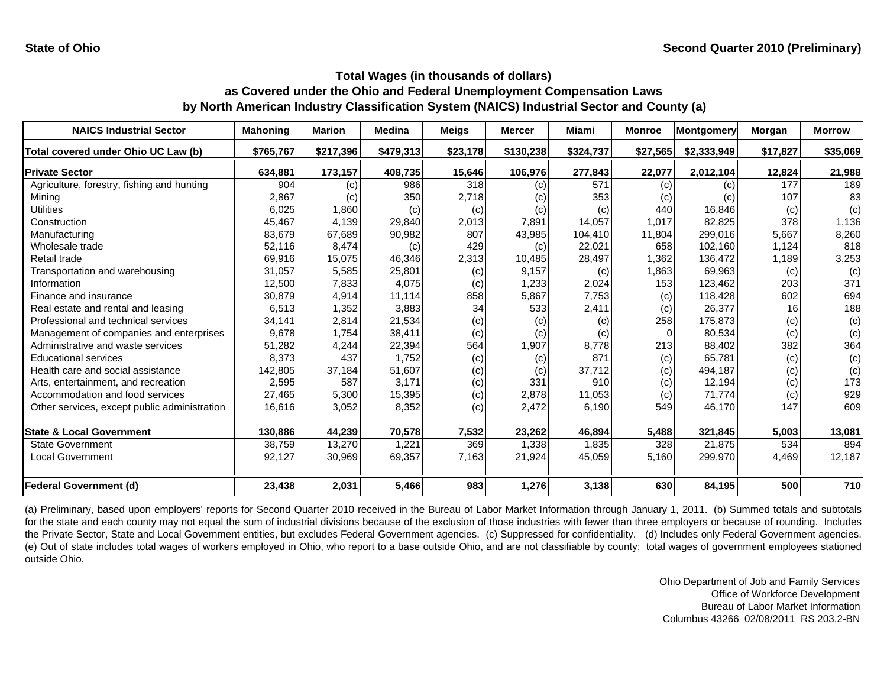| <b>NAICS Industrial Sector</b>               | <b>Mahoning</b> | <b>Marion</b> | <b>Medina</b> | <b>Meigs</b> | <b>Mercer</b> | <b>Miami</b> | <b>Monroe</b> | <b>Montgomery</b> | Morgan   | <b>Morrow</b> |
|----------------------------------------------|-----------------|---------------|---------------|--------------|---------------|--------------|---------------|-------------------|----------|---------------|
| Total covered under Ohio UC Law (b)          | \$765,767       | \$217,396     | \$479,313     | \$23,178     | \$130,238     | \$324,737    | \$27,565      | \$2,333,949       | \$17,827 | \$35,069      |
| <b>Private Sector</b>                        | 634,881         | 173,157       | 408,735       | 15,646       | 106,976       | 277,843      | 22,077        | 2,012,104         | 12,824   | 21,988        |
| Agriculture, forestry, fishing and hunting   | 904             | (c)           | 986           | 318          | (c)           | 571          | (c)           | (c)               | 177      | 189           |
| Mining                                       | 2,867           | (c)           | 350           | 2,718        | (c)           | 353          | (c)           | (c)               | 107      | 83            |
| Utilities                                    | 6,025           | 1,860         | (c)           | (c)          | (c)           | (c)          | 440           | 16,846            | (c)      | (c)           |
| Construction                                 | 45,467          | 4,139         | 29,840        | 2,013        | 7,891         | 14,057       | 1,017         | 82,825            | 378      | 1,136         |
| Manufacturing                                | 83,679          | 67,689        | 90,982        | 807          | 43,985        | 104,410      | 11,804        | 299,016           | 5,667    | 8,260         |
| Wholesale trade                              | 52,116          | 8,474         | (c)           | 429          | (c)           | 22,021       | 658           | 102.160           | 1.124    | 818           |
| Retail trade                                 | 69,916          | 15,075        | 46,346        | 2,313        | 10,485        | 28,497       | 1,362         | 136,472           | 1,189    | 3,253         |
| Transportation and warehousing               | 31,057          | 5,585         | 25,801        | (c)          | 9,157         | (c)          | 1,863         | 69,963            | (c)      | (c)           |
| Information                                  | 12,500          | 7,833         | 4,075         | (c)          | 1,233         | 2,024        | 153           | 123.462           | 203      | 371           |
| Finance and insurance                        | 30,879          | 4,914         | 11,114        | 858          | 5,867         | 7,753        | (c)           | 118,428           | 602      | 694           |
| Real estate and rental and leasing           | 6,513           | 1,352         | 3,883         | 34           | 533           | 2,411        | (c)           | 26,377            | 16       | 188           |
| Professional and technical services          | 34,141          | 2,814         | 21,534        | (c)          | (c)           | (c)          | 258           | 175,873           | (c)      | (c)           |
| Management of companies and enterprises      | 9,678           | 1,754         | 38,411        | (c)          | (c)           | (c)          |               | 80,534            | (c)      | (c)           |
| Administrative and waste services            | 51,282          | 4,244         | 22,394        | 564          | 1,907         | 8,778        | 213           | 88,402            | 382      | 364           |
| <b>Educational services</b>                  | 8,373           | 437           | 1,752         | (c)          | (c)           | 871          | (c)           | 65,781            | (c)      | (c)           |
| Health care and social assistance            | 142,805         | 37,184        | 51,607        | (c)          | (c)           | 37,712       | (c)           | 494,187           | (c)      | (c)           |
| Arts, entertainment, and recreation          | 2,595           | 587           | 3,171         | (c)          | 331           | 910          | (c)           | 12,194            | (c)      | 173           |
| Accommodation and food services              | 27,465          | 5,300         | 15,395        | (c)          | 2,878         | 11,053       | (c)           | 71,774            | (c)      | 929           |
| Other services, except public administration | 16,616          | 3,052         | 8,352         | (c)          | 2,472         | 6,190        | 549           | 46,170            | 147      | 609           |
| <b>State &amp; Local Government</b>          | 130,886         | 44,239        | 70,578        | 7,532        | 23,262        | 46,894       | 5,488         | 321,845           | 5,003    | 13,081        |
| <b>State Government</b>                      | 38,759          | 13,270        | 1,221         | 369          | 1,338         | 1,835        | 328           | 21.875            | 534      | 894           |
| <b>Local Government</b>                      | 92,127          | 30,969        | 69,357        | 7,163        | 21,924        | 45,059       | 5,160         | 299,970           | 4,469    | 12,187        |
| <b>Federal Government (d)</b>                | 23,438          | 2,031         | 5,466         | 983          | 1,276         | 3,138        | 630           | 84,195            | 500      | 710           |

(a) Preliminary, based upon employers' reports for Second Quarter 2010 received in the Bureau of Labor Market Information through January 1, 2011. (b) Summed totals and subtotals for the state and each county may not equal the sum of industrial divisions because of the exclusion of those industries with fewer than three employers or because of rounding. Includes the Private Sector, State and Local Government entities, but excludes Federal Government agencies. (c) Suppressed for confidentiality. (d) Includes only Federal Government agencies. (e) Out of state includes total wages of workers employed in Ohio, who report to <sup>a</sup> base outside Ohio, and are not classifiable by county; total wages of government employees stationed outside Ohio.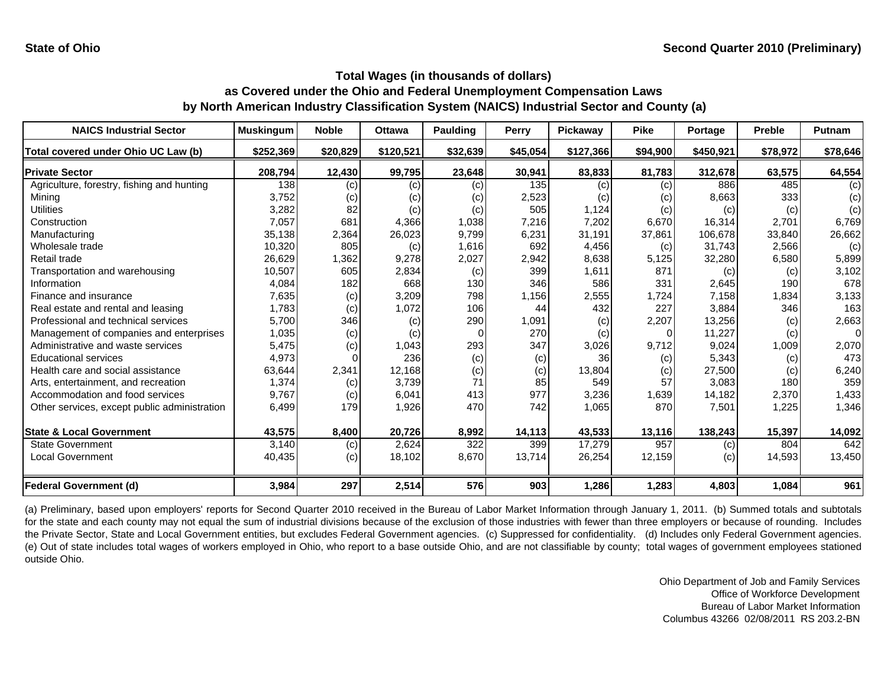| <b>NAICS Industrial Sector</b>               | <b>Muskingum</b> | <b>Noble</b> | <b>Ottawa</b> | <b>Paulding</b> | <b>Perry</b> | Pickaway  | <b>Pike</b> | Portage   | <b>Preble</b> | Putnam   |
|----------------------------------------------|------------------|--------------|---------------|-----------------|--------------|-----------|-------------|-----------|---------------|----------|
| Total covered under Ohio UC Law (b)          | \$252,369        | \$20,829     | \$120,521     | \$32,639        | \$45,054     | \$127,366 | \$94,900    | \$450,921 | \$78,972      | \$78,646 |
| <b>Private Sector</b>                        | 208,794          | 12,430       | 99,795        | 23,648          | 30,941       | 83,833    | 81,783      | 312,678   | 63,575        | 64,554   |
| Agriculture, forestry, fishing and hunting   | 138              | (c)          | (c)           | (c)             | 135          | (c)       | (c)         | 886       | 485           | (c)      |
| Minina                                       | 3,752            | (c)          | (c)           | (c)             | 2,523        | (c)       | (c)         | 8,663     | 333           | (c)      |
| Utilities                                    | 3,282            | 82           | (c)           | (c)             | 505          | 1,124     | (c)         | (c)       | (c)           | (c)      |
| Construction                                 | 7,057            | 681          | 4,366         | 1,038           | 7,216        | 7,202     | 6,670       | 16,314    | 2.701         | 6,769    |
| Manufacturing                                | 35,138           | 2,364        | 26,023        | 9,799           | 6,231        | 31,191    | 37,861      | 106,678   | 33,840        | 26,662   |
| Wholesale trade                              | 10,320           | 805          | (c)           | 1,616           | 692          | 4,456     | (c)         | 31.743    | 2,566         | (c)      |
| Retail trade                                 | 26,629           | 1,362        | 9,278         | 2,027           | 2,942        | 8,638     | 5,125       | 32,280    | 6,580         | 5,899    |
| Transportation and warehousing               | 10,507           | 605          | 2,834         | (c)             | 399          | 1,611     | 871         | (c)       | (c)           | 3,102    |
| Information                                  | 4,084            | 182          | 668           | 130             | 346          | 586       | 331         | 2,645     | 190           | 678      |
| Finance and insurance                        | 7,635            | (c)          | 3,209         | 798             | 1,156        | 2,555     | 1,724       | 7,158     | 1,834         | 3,133    |
| Real estate and rental and leasing           | 1,783            | (c)          | 1,072         | 106             | 44           | 432       | 227         | 3,884     | 346           | 163      |
| Professional and technical services          | 5,700            | 346          | (c)           | 290             | 1,091        | (c)       | 2,207       | 13,256    | (c)           | 2,663    |
| Management of companies and enterprises      | 1,035            | (c)          | (c)           | $\Omega$        | 270          | (c)       | O           | 11,227    | (c)           | $\Omega$ |
| Administrative and waste services            | 5,475            | (c)          | 1,043         | 293             | 347          | 3,026     | 9,712       | 9,024     | 1,009         | 2,070    |
| <b>Educational services</b>                  | 4,973            |              | 236           | (c)             | (c)          | 36        | (c)         | 5,343     | (c)           | 473      |
| Health care and social assistance            | 63,644           | 2,341        | 12,168        | (c)             | (c)          | 13,804    | (c)         | 27,500    | (c)           | 6,240    |
| Arts, entertainment, and recreation          | 1,374            | (c)          | 3,739         | 71              | 85           | 549       | 57          | 3,083     | 180           | 359      |
| Accommodation and food services              | 9,767            | (c)          | 6,041         | 413             | 977          | 3,236     | 1,639       | 14,182    | 2,370         | 1,433    |
| Other services, except public administration | 6,499            | 179          | 1,926         | 470             | 742          | 1,065     | 870         | 7,501     | 1,225         | 1,346    |
| <b>State &amp; Local Government</b>          | 43,575           | 8,400        | 20,726        | 8,992           | 14,113       | 43,533    | 13,116      | 138,243   | 15,397        | 14,092   |
| <b>State Government</b>                      | 3,140            | (c)          | 2,624         | 322             | 399          | 17,279    | 957         | (c)       | 804           | 642      |
| <b>Local Government</b>                      | 40,435           | (c)          | 18,102        | 8,670           | 13,714       | 26,254    | 12,159      | (c)       | 14,593        | 13,450   |
| <b>Federal Government (d)</b>                | 3,984            | 297          | 2,514         | 576             | 903          | 1,286     | 1,283       | 4,803     | 1,084         | 961      |

(a) Preliminary, based upon employers' reports for Second Quarter 2010 received in the Bureau of Labor Market Information through January 1, 2011. (b) Summed totals and subtotals for the state and each county may not equal the sum of industrial divisions because of the exclusion of those industries with fewer than three employers or because of rounding. Includes the Private Sector, State and Local Government entities, but excludes Federal Government agencies. (c) Suppressed for confidentiality. (d) Includes only Federal Government agencies. (e) Out of state includes total wages of workers employed in Ohio, who report to <sup>a</sup> base outside Ohio, and are not classifiable by county; total wages of government employees stationed outside Ohio.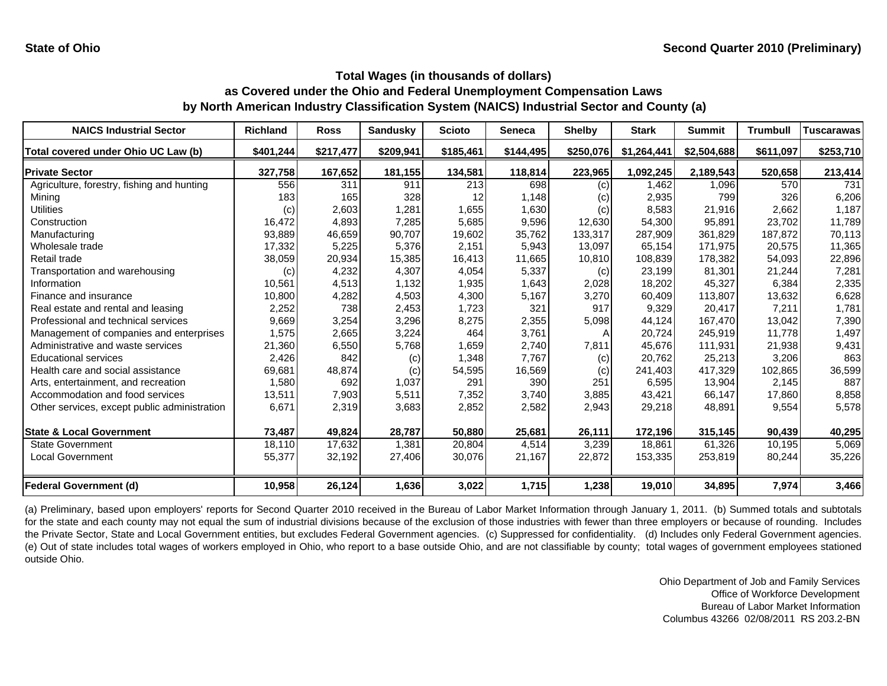| <b>NAICS Industrial Sector</b>               | <b>Richland</b> | <b>Ross</b> | <b>Sandusky</b> | <b>Scioto</b> | <b>Seneca</b> | <b>Shelby</b> | <b>Stark</b> | <b>Summit</b> | <b>Trumbull</b> | <b>Tuscarawas</b> |
|----------------------------------------------|-----------------|-------------|-----------------|---------------|---------------|---------------|--------------|---------------|-----------------|-------------------|
| Total covered under Ohio UC Law (b)          | \$401,244       | \$217,477   | \$209,941       | \$185,461     | \$144,495     | \$250,076     | \$1,264,441  | \$2,504,688   | \$611,097       | \$253,710         |
| <b>Private Sector</b>                        | 327,758         | 167,652     | 181,155         | 134,581       | 118,814       | 223,965       | 1,092,245    | 2,189,543     | 520,658         | 213,414           |
| Agriculture, forestry, fishing and hunting   | 556             | 311         | 911             | 213           | 698           | (c)           | 1.462        | 1,096         | 570             | 731               |
| Mining                                       | 183             | 165         | 328             | 12            | 1,148         | (c)           | 2,935        | 799           | 326             | 6,206             |
| Utilities                                    | (c)             | 2,603       | 1,281           | 1,655         | 1,630         | (c)           | 8,583        | 21,916        | 2,662           | 1,187             |
| Construction                                 | 16,472          | 4,893       | 7,285           | 5,685         | 9,596         | 12,630        | 54,300       | 95.891        | 23.702          | 11,789            |
| Manufacturing                                | 93,889          | 46,659      | 90,707          | 19,602        | 35,762        | 133,317       | 287,909      | 361,829       | 187,872         | 70,113            |
| Wholesale trade                              | 17,332          | 5,225       | 5,376           | 2.151         | 5,943         | 13,097        | 65,154       | 171.975       | 20,575          | 11,365            |
| Retail trade                                 | 38,059          | 20,934      | 15,385          | 16,413        | 11,665        | 10,810        | 108,839      | 178,382       | 54,093          | 22,896            |
| Transportation and warehousing               | (c)             | 4,232       | 4,307           | 4,054         | 5,337         | (c)           | 23,199       | 81,301        | 21,244          | 7,281             |
| Information                                  | 10,561          | 4,513       | 1,132           | 1,935         | 1,643         | 2,028         | 18,202       | 45,327        | 6,384           | 2,335             |
| Finance and insurance                        | 10,800          | 4,282       | 4,503           | 4,300         | 5,167         | 3,270         | 60,409       | 113,807       | 13,632          | 6,628             |
| Real estate and rental and leasing           | 2,252           | 738         | 2,453           | 1,723         | 321           | 917           | 9,329        | 20,417        | 7,211           | 1,781             |
| Professional and technical services          | 9,669           | 3,254       | 3,296           | 8,275         | 2,355         | 5,098         | 44,124       | 167,470       | 13,042          | 7,390             |
| Management of companies and enterprises      | 1,575           | 2,665       | 3,224           | 464           | 3,761         |               | 20,724       | 245,919       | 11,778          | 1,497             |
| Administrative and waste services            | 21,360          | 6,550       | 5,768           | 1,659         | 2,740         | 7,811         | 45,676       | 111,931       | 21,938          | 9,431             |
| <b>Educational services</b>                  | 2,426           | 842         | (c)             | 1,348         | 7,767         | (c)           | 20,762       | 25,213        | 3,206           | 863               |
| Health care and social assistance            | 69,681          | 48,874      | (c)             | 54,595        | 16,569        | (c)           | 241,403      | 417,329       | 102,865         | 36,599            |
| Arts, entertainment, and recreation          | 1,580           | 692         | 1,037           | 291           | 390           | 251           | 6,595        | 13,904        | 2,145           | 887               |
| Accommodation and food services              | 13,511          | 7,903       | 5,511           | 7,352         | 3,740         | 3,885         | 43,421       | 66,147        | 17,860          | 8,858             |
| Other services, except public administration | 6,671           | 2,319       | 3,683           | 2,852         | 2,582         | 2,943         | 29,218       | 48,891        | 9,554           | 5,578             |
| <b>State &amp; Local Government</b>          | 73,487          | 49,824      | 28,787          | 50,880        | 25,681        | 26,111        | 172,196      | 315,145       | 90,439          | 40,295            |
| <b>State Government</b>                      | 18,110          | 17,632      | 1.381           | 20,804        | 4,514         | 3,239         | 18.861       | 61,326        | 10.195          | 5,069             |
| Local Government                             | 55,377          | 32,192      | 27,406          | 30,076        | 21,167        | 22,872        | 153,335      | 253,819       | 80,244          | 35,226            |
| <b>Federal Government (d)</b>                | 10,958          | 26,124      | 1,636           | 3,022         | 1,715         | 1,238         | 19,010       | 34,895        | 7,974           | 3,466             |

(a) Preliminary, based upon employers' reports for Second Quarter 2010 received in the Bureau of Labor Market Information through January 1, 2011. (b) Summed totals and subtotals for the state and each county may not equal the sum of industrial divisions because of the exclusion of those industries with fewer than three employers or because of rounding. Includes the Private Sector, State and Local Government entities, but excludes Federal Government agencies. (c) Suppressed for confidentiality. (d) Includes only Federal Government agencies. (e) Out of state includes total wages of workers employed in Ohio, who report to <sup>a</sup> base outside Ohio, and are not classifiable by county; total wages of government employees stationed outside Ohio.